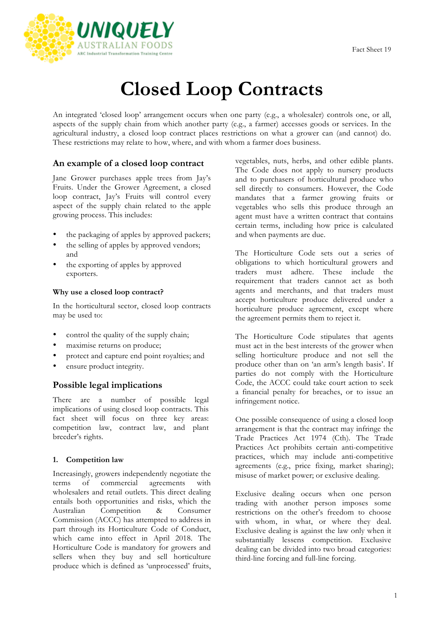

# **Closed Loop Contracts**

An integrated 'closed loop' arrangement occurs when one party (e.g., a wholesaler) controls one, or all, aspects of the supply chain from which another party (e.g., a farmer) accesses goods or services. In the agricultural industry, a closed loop contract places restrictions on what a grower can (and cannot) do. These restrictions may relate to how, where, and with whom a farmer does business.

# **An example of a closed loop contract**

Jane Grower purchases apple trees from Jay's Fruits. Under the Grower Agreement, a closed loop contract, Jay's Fruits will control every aspect of the supply chain related to the apple growing process. This includes:

- the packaging of apples by approved packers;
- the selling of apples by approved vendors; and
- the exporting of apples by approved exporters.

## **Why use a closed loop contract?**

In the horticultural sector, closed loop contracts may be used to:

- control the quality of the supply chain;
- maximise returns on produce;
- protect and capture end point royalties; and
- ensure product integrity.

# **Possible legal implications**

There are a number of possible legal implications of using closed loop contracts. This fact sheet will focus on three key areas: competition law, contract law, and plant breeder's rights.

# **1. Competition law**

Increasingly, growers independently negotiate the terms of commercial agreements with wholesalers and retail outlets. This direct dealing entails both opportunities and risks, which the Australian Competition & Consumer Commission (ACCC) has attempted to address in part through its Horticulture Code of Conduct, which came into effect in April 2018. The Horticulture Code is mandatory for growers and sellers when they buy and sell horticulture produce which is defined as 'unprocessed' fruits, vegetables, nuts, herbs, and other edible plants. The Code does not apply to nursery products and to purchasers of horticultural produce who sell directly to consumers. However, the Code mandates that a farmer growing fruits or vegetables who sells this produce through an agent must have a written contract that contains certain terms, including how price is calculated and when payments are due.

The Horticulture Code sets out a series of obligations to which horticultural growers and traders must adhere. These include the requirement that traders cannot act as both agents and merchants, and that traders must accept horticulture produce delivered under a horticulture produce agreement, except where the agreement permits them to reject it.

The Horticulture Code stipulates that agents must act in the best interests of the grower when selling horticulture produce and not sell the produce other than on 'an arm's length basis'. If parties do not comply with the Horticulture Code, the ACCC could take court action to seek a financial penalty for breaches, or to issue an infringement notice.

One possible consequence of using a closed loop arrangement is that the contract may infringe the Trade Practices Act 1974 (Cth). The Trade Practices Act prohibits certain anti-competitive practices, which may include anti-competitive agreements (e.g., price fixing, market sharing); misuse of market power; or exclusive dealing.

Exclusive dealing occurs when one person trading with another person imposes some restrictions on the other's freedom to choose with whom, in what, or where they deal. Exclusive dealing is against the law only when it substantially lessens competition. Exclusive dealing can be divided into two broad categories: third-line forcing and full-line forcing.